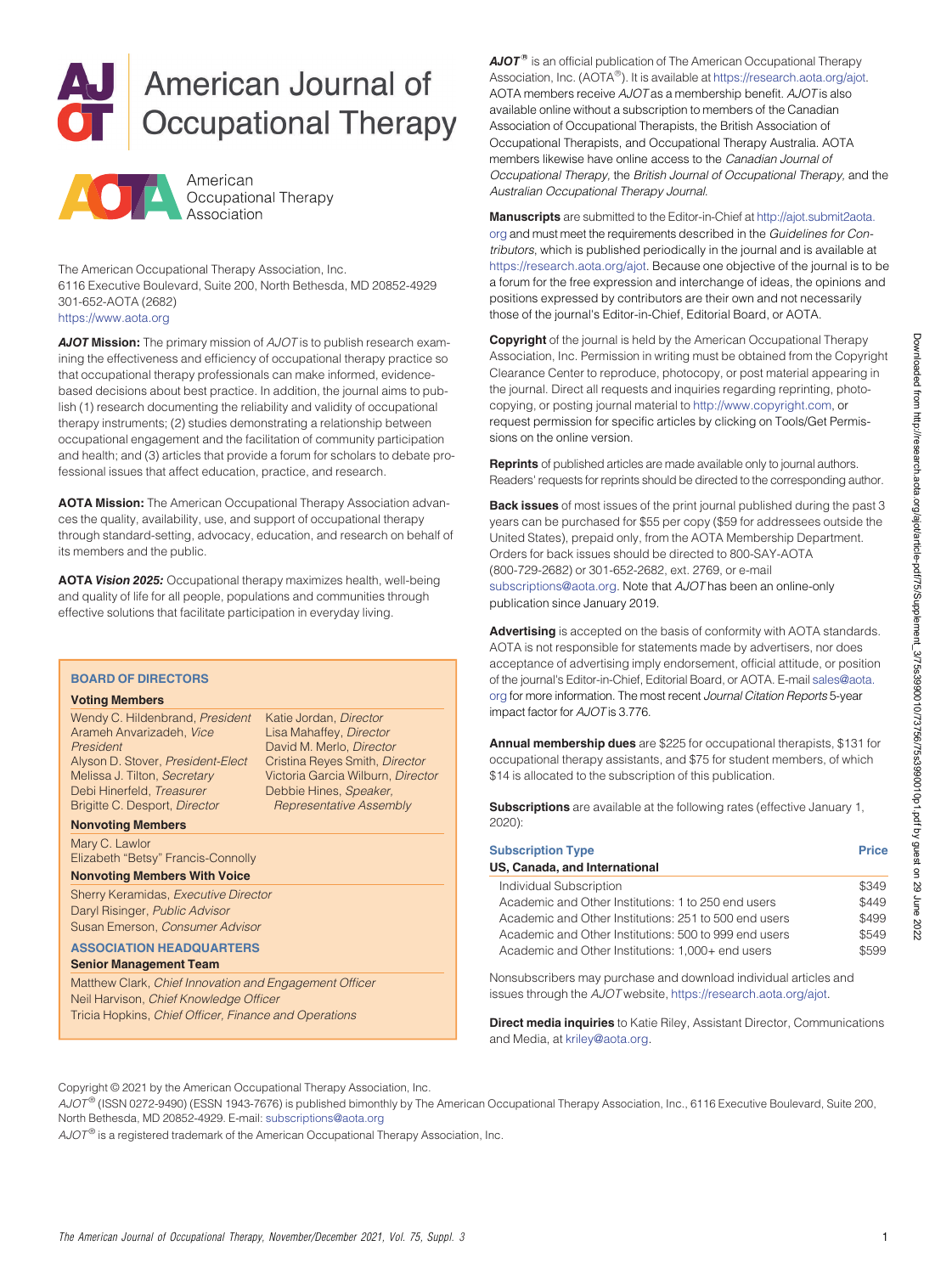



The American Occupational Therapy Association, Inc. 6116 Executive Boulevard, Suite 200, North Bethesda, MD 20852-4929 301-652-AOTA (2682)

<https://www.aota.org>

*AJOT* **Mission:** The primary mission of *AJOT* is to publish research examining the effectiveness and efficiency of occupational therapy practice so that occupational therapy professionals can make informed, evidencebased decisions about best practice. In addition, the journal aims to publish (1) research documenting the reliability and validity of occupational therapy instruments; (2) studies demonstrating a relationship between occupational engagement and the facilitation of community participation and health; and (3) articles that provide a forum for scholars to debate professional issues that affect education, practice, and research.

**AOTA Mission:** The American Occupational Therapy Association advances the quality, availability, use, and support of occupational therapy through standard-setting, advocacy, education, and research on behalf of its members and the public.

**AOTA** *Vision 2025:* Occupational therapy maximizes health, well-being and quality of life for all people, populations and communities through effective solutions that facilitate participation in everyday living.

#### **BOARD OF DIRECTORS**

#### **Voting Members**

Wendy C. Hildenbrand, *President* Arameh Anvarizadeh, *Vice President* Alyson D. Stover, *President-Elect* Melissa J. Tilton, *Secretary* Debi Hinerfeld, *Treasurer* Brigitte C. Desport, *Director*

Katie Jordan, *Director* Lisa Mahaffey, *Director* David M. Merlo, *Director* Cristina Reyes Smith, *Director* Victoria Garcia Wilburn, *Director* Debbie Hines, *Speaker, Representative Assembly*

**Nonvoting Members**

Mary C. Lawlor Elizabeth "Betsy" Francis-Connolly

### **Nonvoting Members With Voice**

Sherry Keramidas, *Executive Director* Daryl Risinger, *Public Advisor* Susan Emerson, *Consumer Advisor*

#### **ASSOCIATION HEADQUARTERS**

**Senior Management Team**

Matthew Clark, *Chief Innovation and Engagement Officer* Neil Harvison, *Chief Knowledge Officer* Tricia Hopkins, *Chief Officer, Finance and Operations*

 $\mathbf{A}\mathbf{J}\mathbf{O}\mathbf{T}^{\circledast}$  is an official publication of The American Occupational Therapy Association, Inc. (AOTA $^\circledR$ ). It is available at <https://research.aota.org/ajot>. AOTA members receive *AJOT* as a membership benefit. *AJOT* is also available online without a subscription to members of the Canadian Association of Occupational Therapists, the British Association of Occupational Therapists, and Occupational Therapy Australia. AOTA members likewise have online access to the Canadian Journal of Occupational Therapy, the British Journal of Occupational Therapy, and the Australian Occupational Therapy Journal.

**Manuscripts** are submitted to the Editor-in-Chief at [http://ajot.submit2aota.](http://ajot.submit2aota.org) [org](http://ajot.submit2aota.org) and must meet the requirements described in the *Guidelines for Contributors*, which is published periodically in the journal and is available at <https://research.aota.org/ajot>. Because one objective of the journal is to be a forum for the free expression and interchange of ideas, the opinions and positions expressed by contributors are their own and not necessarily those of the journal's Editor-in-Chief, Editorial Board, or AOTA.

**Copyright** of the journal is held by the American Occupational Therapy Association, Inc. Permission in writing must be obtained from the Copyright Clearance Center to reproduce, photocopy, or post material appearing in the journal. Direct all requests and inquiries regarding reprinting, photocopying, or posting journal material to <http://www.copyright.com>, or request permission for specific articles by clicking on Tools/Get Permissions on the online version.

**Reprints** of published articles are made available only to journal authors. Readers' requests for reprints should be directed to the corresponding author.

**Back issues** of most issues of the print journal published during the past 3 years can be purchased for \$55 per copy (\$59 for addressees outside the United States), prepaid only, from the AOTA Membership Department. Orders for back issues should be directed to 800-SAY-AOTA (800-729-2682) or 301-652-2682, ext. 2769, or e-mail [subscriptions@aota.org](mailto:subscriptions@aota.org). Note that *AJOT* has been an online-only publication since January 2019.

**Advertising** is accepted on the basis of conformity with AOTA standards. AOTA is not responsible for statements made by advertisers, nor does acceptance of advertising imply endorsement, official attitude, or position of the journal's Editor-in-Chief, Editorial Board, or AOTA. E-mail [sales@aota.](mailto:sales@aota.org) [org](mailto:sales@aota.org) for more information. The most recent *Journal Citation Reports* 5-year impact factor for *AJOT* is 3.776.

**Annual membership dues** are \$225 for occupational therapists, \$131 for occupational therapy assistants, and \$75 for student members, of which \$14 is allocated to the subscription of this publication.

**Subscriptions** are available at the following rates (effective January 1, 2020):

| <b>Subscription Type</b><br>US, Canada, and International | <b>Price</b> |
|-----------------------------------------------------------|--------------|
| Individual Subscription                                   | \$349        |
| Academic and Other Institutions: 1 to 250 end users       | \$449        |
| Academic and Other Institutions: 251 to 500 end users     | \$499        |
| Academic and Other Institutions: 500 to 999 end users     | \$549        |
| Academic and Other Institutions: 1,000+ end users         | \$599        |

Nonsubscribers may purchase and download individual articles and issues through the *AJOT* website, <https://research.aota.org/ajot>.

**Direct media inquiries** to Katie Riley, Assistant Director, Communications and Media, at [kriley@aota.org.](https://kriley.org)

Copyright © 2021 by the American Occupational Therapy Association, Inc.

*AJOT* ® (ISSN 0272-9490) (ESSN 1943-7676) is published bimonthly by The American Occupational Therapy Association, Inc., 6116 Executive Boulevard, Suite 200, North Bethesda, MD 20852-4929. E-mail: [subscriptions@aota.org](mailto:subscriptions@aota.org)

*AJOT<sup>®</sup>* is a registered trademark of the American Occupational Therapy Association, Inc.